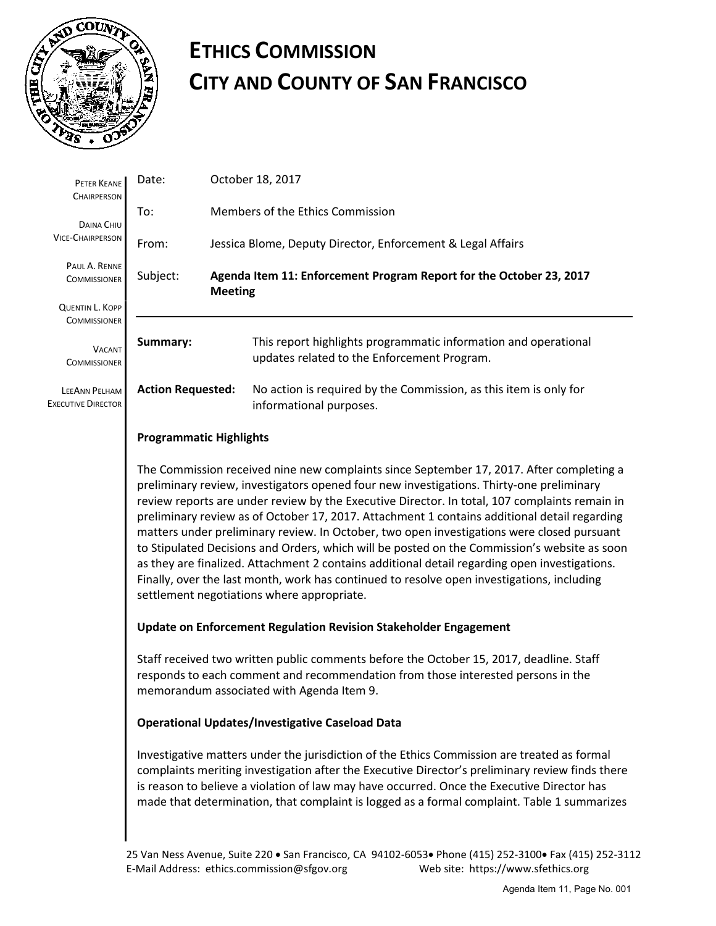

# **ETHICS COMMISSION CITY AND COUNTY OF SAN FRANCISCO**

| PETER KEANE<br><b>CHAIRPERSON</b>                 | Date:                                                                                                                                                                                                                                                                                                                                                                                                                                                                                                                                                                                                                                                                                                                                                                                                                            |                                                             | October 18, 2017                                                                                               |  |  |  |
|---------------------------------------------------|----------------------------------------------------------------------------------------------------------------------------------------------------------------------------------------------------------------------------------------------------------------------------------------------------------------------------------------------------------------------------------------------------------------------------------------------------------------------------------------------------------------------------------------------------------------------------------------------------------------------------------------------------------------------------------------------------------------------------------------------------------------------------------------------------------------------------------|-------------------------------------------------------------|----------------------------------------------------------------------------------------------------------------|--|--|--|
| DAINA CHIU                                        | To:                                                                                                                                                                                                                                                                                                                                                                                                                                                                                                                                                                                                                                                                                                                                                                                                                              | Members of the Ethics Commission                            |                                                                                                                |  |  |  |
| <b>VICE-CHAIRPERSON</b>                           | From:                                                                                                                                                                                                                                                                                                                                                                                                                                                                                                                                                                                                                                                                                                                                                                                                                            | Jessica Blome, Deputy Director, Enforcement & Legal Affairs |                                                                                                                |  |  |  |
| PAUL A. RENNE<br><b>COMMISSIONER</b>              | Agenda Item 11: Enforcement Program Report for the October 23, 2017<br>Subject:<br><b>Meeting</b>                                                                                                                                                                                                                                                                                                                                                                                                                                                                                                                                                                                                                                                                                                                                |                                                             |                                                                                                                |  |  |  |
| <b>QUENTIN L. KOPP</b><br><b>COMMISSIONER</b>     |                                                                                                                                                                                                                                                                                                                                                                                                                                                                                                                                                                                                                                                                                                                                                                                                                                  |                                                             |                                                                                                                |  |  |  |
| Summary:<br><b>VACANT</b><br><b>COMMISSIONER</b>  |                                                                                                                                                                                                                                                                                                                                                                                                                                                                                                                                                                                                                                                                                                                                                                                                                                  |                                                             | This report highlights programmatic information and operational<br>updates related to the Enforcement Program. |  |  |  |
| <b>LEEANN PELHAM</b><br><b>EXECUTIVE DIRECTOR</b> | <b>Action Requested:</b>                                                                                                                                                                                                                                                                                                                                                                                                                                                                                                                                                                                                                                                                                                                                                                                                         |                                                             | No action is required by the Commission, as this item is only for<br>informational purposes.                   |  |  |  |
|                                                   | <b>Programmatic Highlights</b>                                                                                                                                                                                                                                                                                                                                                                                                                                                                                                                                                                                                                                                                                                                                                                                                   |                                                             |                                                                                                                |  |  |  |
|                                                   | The Commission received nine new complaints since September 17, 2017. After completing a<br>preliminary review, investigators opened four new investigations. Thirty-one preliminary<br>review reports are under review by the Executive Director. In total, 107 complaints remain in<br>preliminary review as of October 17, 2017. Attachment 1 contains additional detail regarding<br>matters under preliminary review. In October, two open investigations were closed pursuant<br>to Stipulated Decisions and Orders, which will be posted on the Commission's website as soon<br>as they are finalized. Attachment 2 contains additional detail regarding open investigations.<br>Finally, over the last month, work has continued to resolve open investigations, including<br>settlement negotiations where appropriate. |                                                             |                                                                                                                |  |  |  |
|                                                   | Update on Enforcement Regulation Revision Stakeholder Engagement                                                                                                                                                                                                                                                                                                                                                                                                                                                                                                                                                                                                                                                                                                                                                                 |                                                             |                                                                                                                |  |  |  |
|                                                   | Staff received two written public comments before the October 15, 2017, deadline. Staff<br>responds to each comment and recommendation from those interested persons in the<br>memorandum associated with Agenda Item 9.                                                                                                                                                                                                                                                                                                                                                                                                                                                                                                                                                                                                         |                                                             |                                                                                                                |  |  |  |
|                                                   | <b>Operational Updates/Investigative Caseload Data</b>                                                                                                                                                                                                                                                                                                                                                                                                                                                                                                                                                                                                                                                                                                                                                                           |                                                             |                                                                                                                |  |  |  |
|                                                   | Investigative matters under the jurisdiction of the Ethics Commission are treated as formal<br>complaints meriting investigation after the Executive Director's preliminary review finds there<br>is reason to believe a violation of law may have occurred. Once the Executive Director has<br>made that determination, that complaint is logged as a formal complaint. Table 1 summarizes                                                                                                                                                                                                                                                                                                                                                                                                                                      |                                                             |                                                                                                                |  |  |  |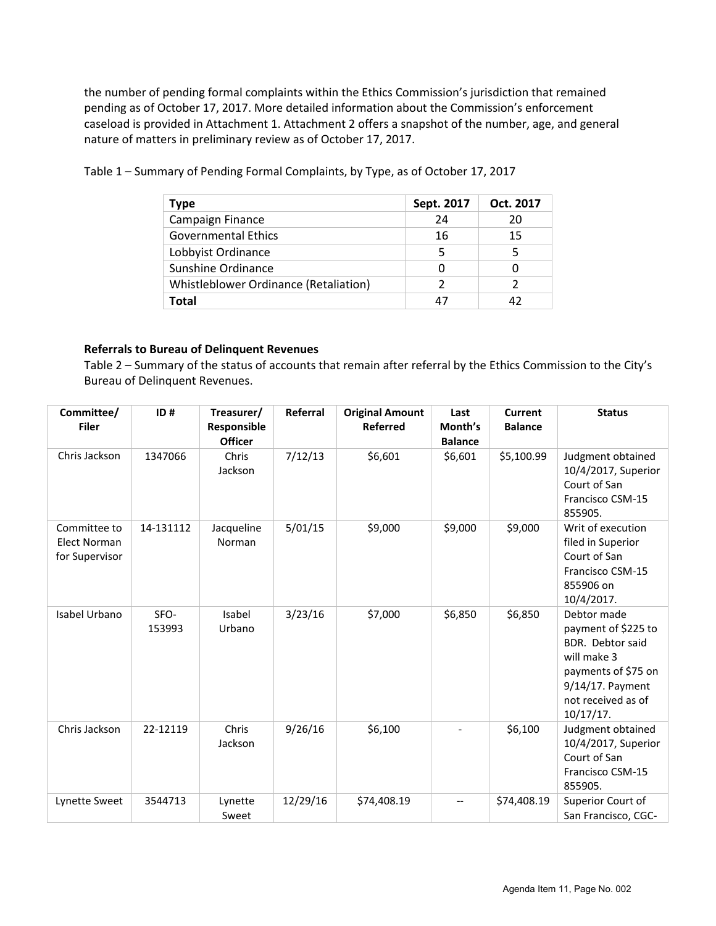the number of pending formal complaints within the Ethics Commission's jurisdiction that remained pending as of October 17, 2017. More detailed information about the Commission's enforcement caseload is provided in Attachment 1. Attachment 2 offers a snapshot of the number, age, and general nature of matters in preliminary review as of October 17, 2017.

| Type                                  | Sept. 2017 | Oct. 2017 |
|---------------------------------------|------------|-----------|
| Campaign Finance                      | 24         | 20        |
| <b>Governmental Ethics</b>            | 16         | 15        |
| Lobbyist Ordinance                    | 5          | 5         |
| Sunshine Ordinance                    | O          |           |
| Whistleblower Ordinance (Retaliation) | 2          |           |
| Total                                 | Δ7         | 42        |

Table 1 – Summary of Pending Formal Complaints, by Type, as of October 17, 2017

### **Referrals to Bureau of Delinquent Revenues**

Table 2 – Summary of the status of accounts that remain after referral by the Ethics Commission to the City's Bureau of Delinquent Revenues.

| Committee/<br><b>Filer</b>                            | ID#            | Treasurer/<br>Responsible<br><b>Officer</b> | Referral | <b>Original Amount</b><br>Referred | Last<br>Month's<br><b>Balance</b> | <b>Current</b><br><b>Balance</b> | <b>Status</b>                                                                                                                                       |
|-------------------------------------------------------|----------------|---------------------------------------------|----------|------------------------------------|-----------------------------------|----------------------------------|-----------------------------------------------------------------------------------------------------------------------------------------------------|
| Chris Jackson                                         | 1347066        | Chris<br>Jackson                            | 7/12/13  | \$6,601                            | \$6,601                           | \$5,100.99                       | Judgment obtained<br>10/4/2017, Superior<br>Court of San<br>Francisco CSM-15<br>855905.                                                             |
| Committee to<br><b>Elect Norman</b><br>for Supervisor | 14-131112      | Jacqueline<br>Norman                        | 5/01/15  | \$9,000                            | \$9,000                           | \$9,000                          | Writ of execution<br>filed in Superior<br>Court of San<br>Francisco CSM-15<br>855906 on<br>10/4/2017.                                               |
| Isabel Urbano                                         | SFO-<br>153993 | Isabel<br>Urbano                            | 3/23/16  | \$7,000                            | \$6,850                           | \$6,850                          | Debtor made<br>payment of \$225 to<br>BDR. Debtor said<br>will make 3<br>payments of \$75 on<br>9/14/17. Payment<br>not received as of<br>10/17/17. |
| Chris Jackson                                         | 22-12119       | Chris<br>Jackson                            | 9/26/16  | \$6,100                            |                                   | \$6,100                          | Judgment obtained<br>10/4/2017, Superior<br>Court of San<br>Francisco CSM-15<br>855905.                                                             |
| <b>Lynette Sweet</b>                                  | 3544713        | Lynette<br>Sweet                            | 12/29/16 | \$74,408.19                        |                                   | \$74,408.19                      | Superior Court of<br>San Francisco, CGC-                                                                                                            |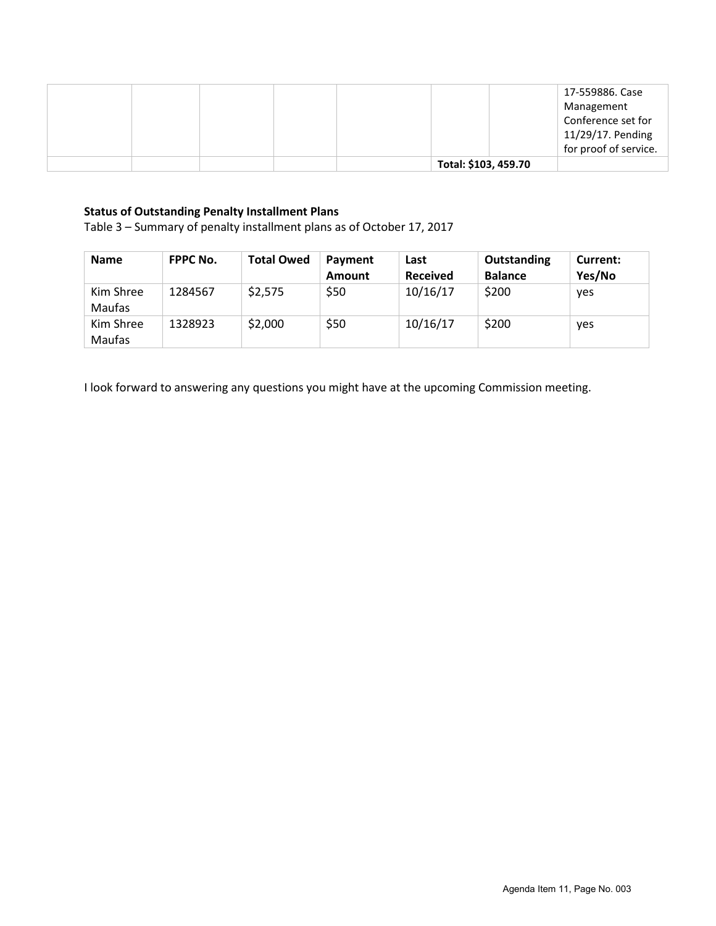|  |  |                      | 17-559886. Case<br>Management<br>Conference set for<br>11/29/17. Pending<br>for proof of service. |
|--|--|----------------------|---------------------------------------------------------------------------------------------------|
|  |  | Total: \$103, 459.70 |                                                                                                   |

## **Status of Outstanding Penalty Installment Plans**

Table 3 – Summary of penalty installment plans as of October 17, 2017

| <b>Name</b>         | <b>FPPC No.</b> | <b>Total Owed</b> | Payment<br><b>Amount</b> | Last<br><b>Received</b> | Outstanding<br><b>Balance</b> | Current:<br>Yes/No |
|---------------------|-----------------|-------------------|--------------------------|-------------------------|-------------------------------|--------------------|
| Kim Shree<br>Maufas | 1284567         | \$2,575           | \$50                     | 10/16/17                | \$200                         | yes                |
| Kim Shree<br>Maufas | 1328923         | \$2,000           | \$50                     | 10/16/17                | \$200                         | <b>ves</b>         |

I look forward to answering any questions you might have at the upcoming Commission meeting.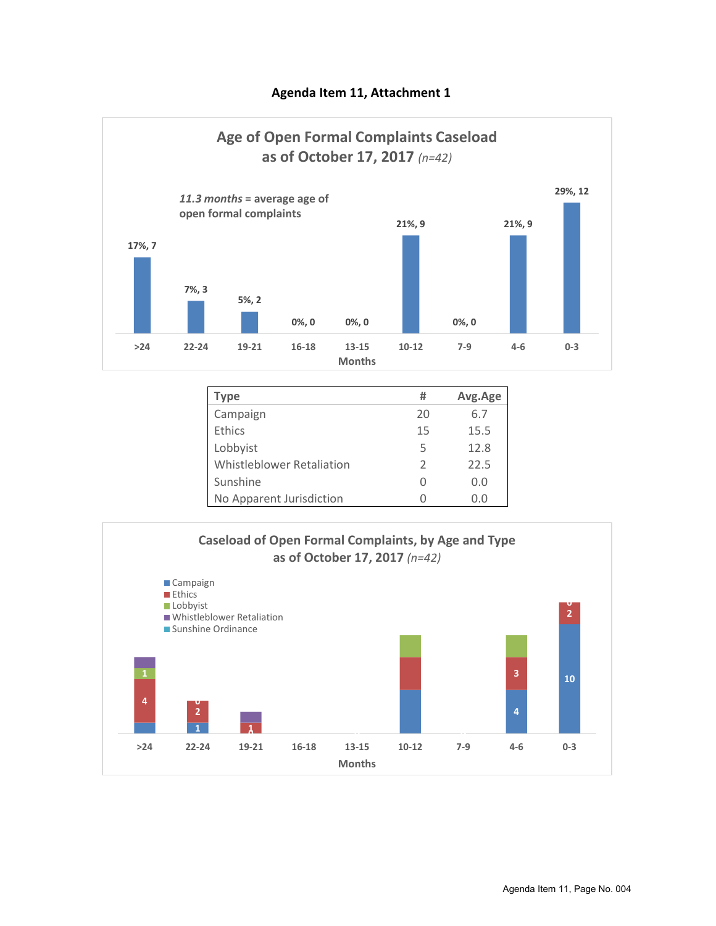## **Agenda Item 11, Attachment 1**



| Type                             | #             | Avg.Age |
|----------------------------------|---------------|---------|
| Campaign                         | 20            | 6.7     |
| Ethics                           | 15            | 15.5    |
| Lobbyist                         | 5             | 12.8    |
| <b>Whistleblower Retaliation</b> | $\mathcal{L}$ | 22.5    |
| Sunshine                         | O             | 0.0     |
| No Apparent Jurisdiction         |               | 0.0     |